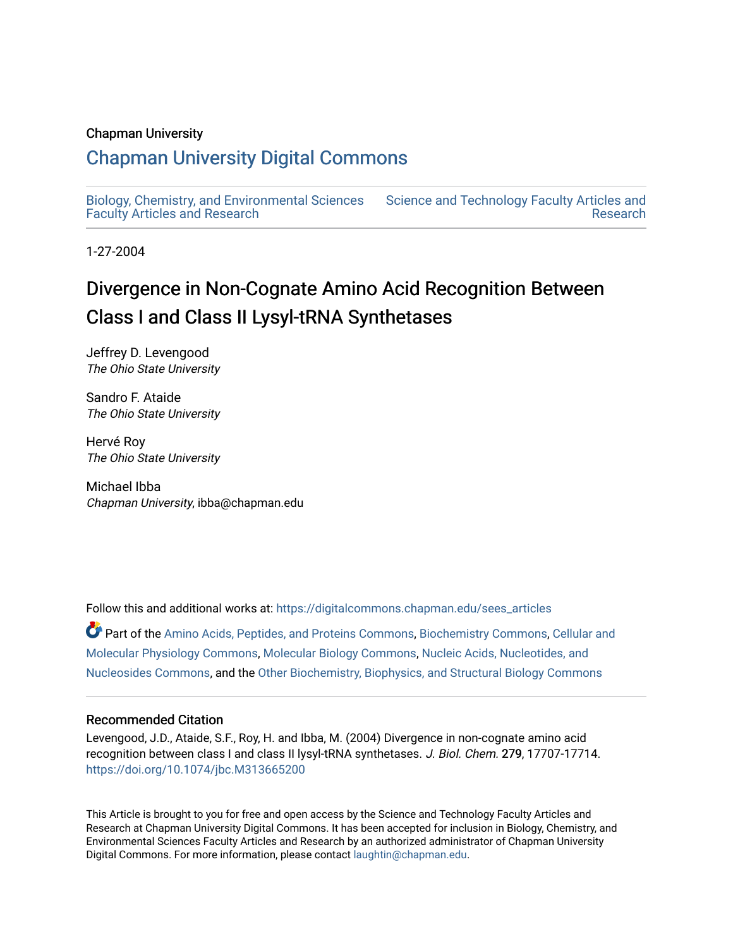### Chapman University

# [Chapman University Digital Commons](https://digitalcommons.chapman.edu/)

[Biology, Chemistry, and Environmental Sciences](https://digitalcommons.chapman.edu/sees_articles) [Faculty Articles and Research](https://digitalcommons.chapman.edu/sees_articles)

[Science and Technology Faculty Articles and](https://digitalcommons.chapman.edu/science_articles)  [Research](https://digitalcommons.chapman.edu/science_articles) 

1-27-2004

# Divergence in Non-Cognate Amino Acid Recognition Between Class I and Class II Lysyl-tRNA Synthetases

Jeffrey D. Levengood The Ohio State University

Sandro F. Ataide The Ohio State University

Hervé Roy The Ohio State University

Michael Ibba Chapman University, ibba@chapman.edu

Follow this and additional works at: [https://digitalcommons.chapman.edu/sees\\_articles](https://digitalcommons.chapman.edu/sees_articles?utm_source=digitalcommons.chapman.edu%2Fsees_articles%2F375&utm_medium=PDF&utm_campaign=PDFCoverPages) 

Part of the [Amino Acids, Peptides, and Proteins Commons](http://network.bepress.com/hgg/discipline/954?utm_source=digitalcommons.chapman.edu%2Fsees_articles%2F375&utm_medium=PDF&utm_campaign=PDFCoverPages), [Biochemistry Commons](http://network.bepress.com/hgg/discipline/2?utm_source=digitalcommons.chapman.edu%2Fsees_articles%2F375&utm_medium=PDF&utm_campaign=PDFCoverPages), [Cellular and](http://network.bepress.com/hgg/discipline/70?utm_source=digitalcommons.chapman.edu%2Fsees_articles%2F375&utm_medium=PDF&utm_campaign=PDFCoverPages) [Molecular Physiology Commons,](http://network.bepress.com/hgg/discipline/70?utm_source=digitalcommons.chapman.edu%2Fsees_articles%2F375&utm_medium=PDF&utm_campaign=PDFCoverPages) [Molecular Biology Commons](http://network.bepress.com/hgg/discipline/5?utm_source=digitalcommons.chapman.edu%2Fsees_articles%2F375&utm_medium=PDF&utm_campaign=PDFCoverPages), [Nucleic Acids, Nucleotides, and](http://network.bepress.com/hgg/discipline/935?utm_source=digitalcommons.chapman.edu%2Fsees_articles%2F375&utm_medium=PDF&utm_campaign=PDFCoverPages)  [Nucleosides Commons,](http://network.bepress.com/hgg/discipline/935?utm_source=digitalcommons.chapman.edu%2Fsees_articles%2F375&utm_medium=PDF&utm_campaign=PDFCoverPages) and the [Other Biochemistry, Biophysics, and Structural Biology Commons](http://network.bepress.com/hgg/discipline/7?utm_source=digitalcommons.chapman.edu%2Fsees_articles%2F375&utm_medium=PDF&utm_campaign=PDFCoverPages)

### Recommended Citation

Levengood, J.D., Ataide, S.F., Roy, H. and Ibba, M. (2004) Divergence in non-cognate amino acid recognition between class I and class II lysyl-tRNA synthetases. J. Biol. Chem. 279, 17707-17714. <https://doi.org/10.1074/jbc.M313665200>

This Article is brought to you for free and open access by the Science and Technology Faculty Articles and Research at Chapman University Digital Commons. It has been accepted for inclusion in Biology, Chemistry, and Environmental Sciences Faculty Articles and Research by an authorized administrator of Chapman University Digital Commons. For more information, please contact [laughtin@chapman.edu](mailto:laughtin@chapman.edu).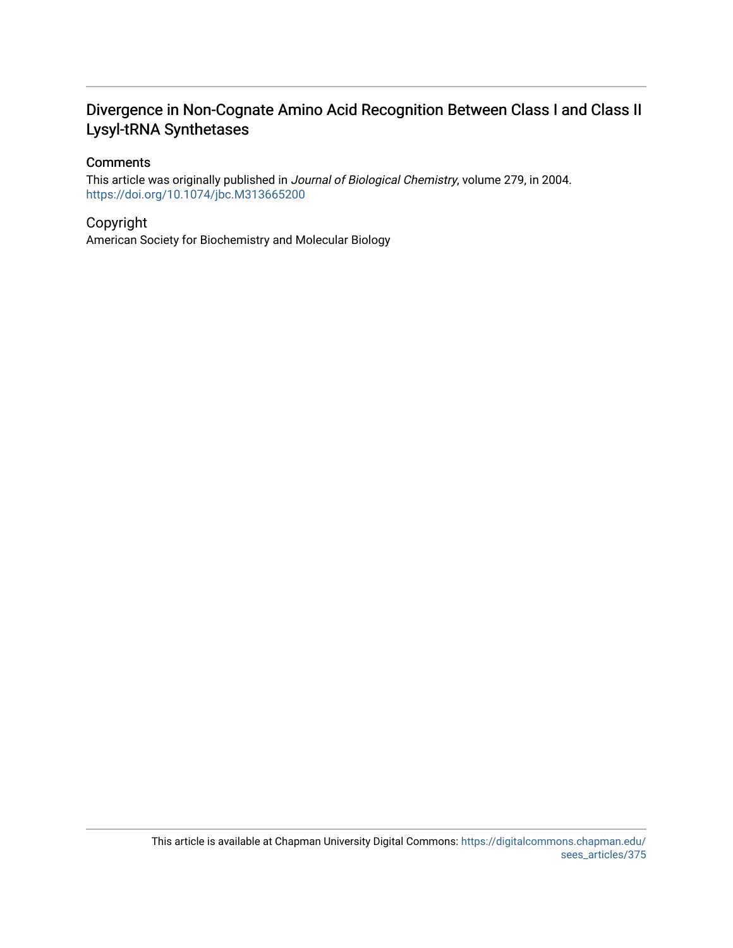# Divergence in Non-Cognate Amino Acid Recognition Between Class I and Class II Lysyl-tRNA Synthetases

## **Comments**

This article was originally published in Journal of Biological Chemistry, volume 279, in 2004. <https://doi.org/10.1074/jbc.M313665200>

### Copyright

American Society for Biochemistry and Molecular Biology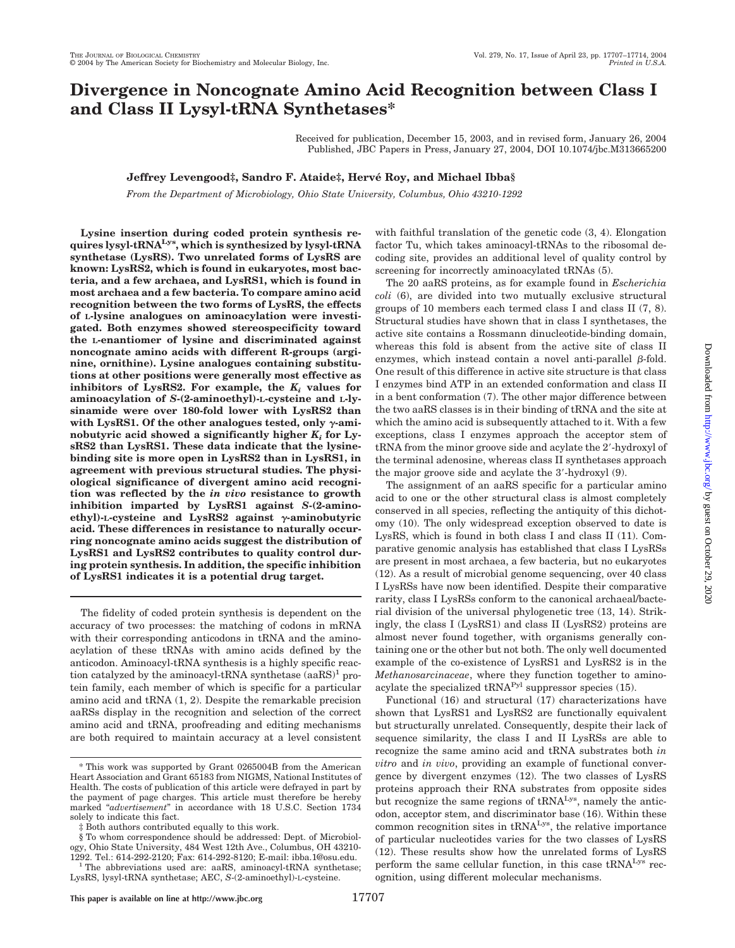# **Divergence in Noncognate Amino Acid Recognition between Class I and Class II Lysyl-tRNA Synthetases\***

Received for publication, December 15, 2003, and in revised form, January 26, 2004 Published, JBC Papers in Press, January 27, 2004, DOI 10.1074/jbc.M313665200

### **Jeffrey Levengood‡, Sandro F. Ataide‡, Herve´ Roy, and Michael Ibba§**

*From the Department of Microbiology, Ohio State University, Columbus, Ohio 43210-1292*

**Lysine insertion during coded protein synthesis requires lysyl-tRNALys, which is synthesized by lysyl-tRNA synthetase (LysRS). Two unrelated forms of LysRS are known: LysRS2, which is found in eukaryotes, most bacteria, and a few archaea, and LysRS1, which is found in most archaea and a few bacteria. To compare amino acid recognition between the two forms of LysRS, the effects of L-lysine analogues on aminoacylation were investigated. Both enzymes showed stereospecificity toward the L-enantiomer of lysine and discriminated against noncognate amino acids with different R-groups (arginine, ornithine). Lysine analogues containing substitutions at other positions were generally most effective as** inhibitors of LysRS2. For example, the  $K_i$  values for **aminoacylation of** *S***-(2-aminoethyl)-L-cysteine and L-lysinamide were over 180-fold lower with LysRS2 than** with LysRS1. Of the other analogues tested, only  $\gamma$ -aminobutyric acid showed a significantly higher  $K_i$  for Ly**sRS2 than LysRS1. These data indicate that the lysinebinding site is more open in LysRS2 than in LysRS1, in agreement with previous structural studies. The physiological significance of divergent amino acid recognition was reflected by the** *in vivo* **resistance to growth inhibition imparted by LysRS1 against** *S***-(2-amino** $e$ thyl)-L-cysteine and LysRS2 against  $\gamma$ -aminobutyric **acid. These differences in resistance to naturally occurring noncognate amino acids suggest the distribution of LysRS1 and LysRS2 contributes to quality control during protein synthesis. In addition, the specific inhibition of LysRS1 indicates it is a potential drug target.**

The fidelity of coded protein synthesis is dependent on the accuracy of two processes: the matching of codons in mRNA with their corresponding anticodons in tRNA and the aminoacylation of these tRNAs with amino acids defined by the anticodon. Aminoacyl-tRNA synthesis is a highly specific reaction catalyzed by the aminoacyl-tRNA synthetase  $(aaRS)^1$  protein family, each member of which is specific for a particular amino acid and tRNA (1, 2). Despite the remarkable precision aaRSs display in the recognition and selection of the correct amino acid and tRNA, proofreading and editing mechanisms are both required to maintain accuracy at a level consistent with faithful translation of the genetic code (3, 4). Elongation factor Tu, which takes aminoacyl-tRNAs to the ribosomal decoding site, provides an additional level of quality control by screening for incorrectly aminoacylated tRNAs (5).

The 20 aaRS proteins, as for example found in *Escherichia coli* (6), are divided into two mutually exclusive structural groups of 10 members each termed class I and class II (7, 8). Structural studies have shown that in class I synthetases, the active site contains a Rossmann dinucleotide-binding domain, whereas this fold is absent from the active site of class II enzymes, which instead contain a novel anti-parallel  $\beta$ -fold. One result of this difference in active site structure is that class I enzymes bind ATP in an extended conformation and class II in a bent conformation (7). The other major difference between the two aaRS classes is in their binding of tRNA and the site at which the amino acid is subsequently attached to it. With a few exceptions, class I enzymes approach the acceptor stem of tRNA from the minor groove side and acylate the 2-hydroxyl of the terminal adenosine, whereas class II synthetases approach the major groove side and acylate the 3-hydroxyl (9).

The assignment of an aaRS specific for a particular amino acid to one or the other structural class is almost completely conserved in all species, reflecting the antiquity of this dichotomy (10). The only widespread exception observed to date is LysRS, which is found in both class I and class II (11). Comparative genomic analysis has established that class I LysRSs are present in most archaea, a few bacteria, but no eukaryotes (12). As a result of microbial genome sequencing, over 40 class I LysRSs have now been identified. Despite their comparative rarity, class I LysRSs conform to the canonical archaeal/bacterial division of the universal phylogenetic tree (13, 14). Strikingly, the class I (LysRS1) and class II (LysRS2) proteins are almost never found together, with organisms generally containing one or the other but not both. The only well documented example of the co-existence of LysRS1 and LysRS2 is in the *Methanosarcinaceae*, where they function together to aminoacylate the specialized tRNAPyl suppressor species (15).

Functional (16) and structural (17) characterizations have shown that LysRS1 and LysRS2 are functionally equivalent but structurally unrelated. Consequently, despite their lack of sequence similarity, the class I and II LysRSs are able to recognize the same amino acid and tRNA substrates both *in vitro* and *in vivo*, providing an example of functional convergence by divergent enzymes (12). The two classes of LysRS proteins approach their RNA substrates from opposite sides but recognize the same regions of tRNA<sup>Lys</sup>, namely the anticodon, acceptor stem, and discriminator base (16). Within these common recognition sites in  $tRNA<sup>Lys</sup>$ , the relative importance of particular nucleotides varies for the two classes of LysRS (12). These results show how the unrelated forms of LysRS perform the same cellular function, in this case tRNALys recognition, using different molecular mechanisms.

<sup>\*</sup> This work was supported by Grant 0265004B from the American Heart Association and Grant 65183 from NIGMS, National Institutes of Health. The costs of publication of this article were defrayed in part by the payment of page charges. This article must therefore be hereby marked "*advertisement*" in accordance with 18 U.S.C. Section 1734 solely to indicate this fact.

<sup>‡</sup> Both authors contributed equally to this work.

<sup>§</sup> To whom correspondence should be addressed: Dept. of Microbiology, Ohio State University, 484 West 12th Ave., Columbus, OH 43210-<br>1292. Tel.: 614-292-2120: Fax: 614-292-8120: E-mail: ibba.1@osu.edu.

 $1$ <sup>T</sup>he abbreviations used are: aaRS, aminoacyl-tRNA synthetase; LysRS, lysyl-tRNA synthetase; AEC, *S*-(2-aminoethyl)-L-cysteine.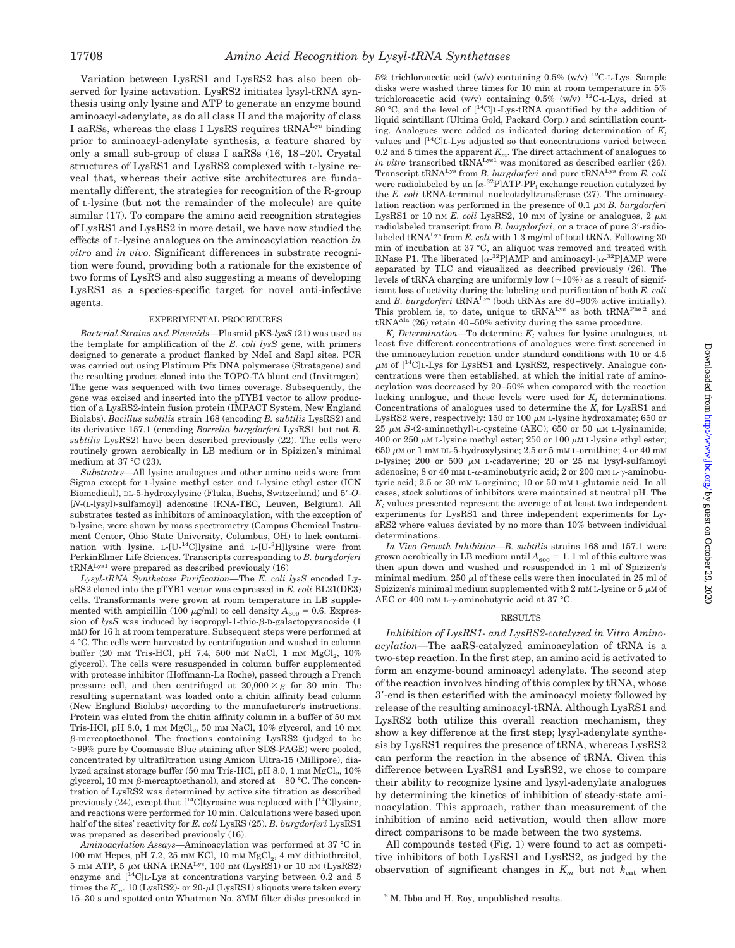Variation between LysRS1 and LysRS2 has also been observed for lysine activation. LysRS2 initiates lysyl-tRNA synthesis using only lysine and ATP to generate an enzyme bound aminoacyl-adenylate, as do all class II and the majority of class I aaRSs, whereas the class I LysRS requires tRNALys binding prior to aminoacyl-adenylate synthesis, a feature shared by only a small sub-group of class I aaRSs (16, 18–20). Crystal structures of LysRS1 and LysRS2 complexed with L-lysine reveal that, whereas their active site architectures are fundamentally different, the strategies for recognition of the R-group of L-lysine (but not the remainder of the molecule) are quite similar (17). To compare the amino acid recognition strategies of LysRS1 and LysRS2 in more detail, we have now studied the effects of L-lysine analogues on the aminoacylation reaction *in vitro* and *in vivo*. Significant differences in substrate recognition were found, providing both a rationale for the existence of two forms of LysRS and also suggesting a means of developing LysRS1 as a species-specific target for novel anti-infective agents.

### EXPERIMENTAL PROCEDURES

*Bacterial Strains and Plasmids—*Plasmid pKS-*lysS* (21) was used as the template for amplification of the *E. coli lysS* gene, with primers designed to generate a product flanked by NdeI and SapI sites. PCR was carried out using Platinum Pfx DNA polymerase (Stratagene) and the resulting product cloned into the TOPO-TA blunt end (Invitrogen). The gene was sequenced with two times coverage. Subsequently, the gene was excised and inserted into the pTYB1 vector to allow production of a LysRS2-intein fusion protein (IMPACT System, New England Biolabs). *Bacillus subtilis* strain 168 (encoding *B. subtilis* LysRS2) and its derivative 157.1 (encoding *Borrelia burgdorferi* LysRS1 but not *B. subtilis* LysRS2) have been described previously (22). The cells were routinely grown aerobically in LB medium or in Spizizen's minimal medium at 37 °C (23).

*Substrates—*All lysine analogues and other amino acids were from Sigma except for L-lysine methyl ester and L-lysine ethyl ester (ICN Biomedical), DL-5-hydroxylysine (Fluka, Buchs, Switzerland) and 5-*O*- [*N*-(L-lysyl)-sulfamoyl] adenosine (RNA-TEC, Leuven, Belgium). All substrates tested as inhibitors of aminoacylation, with the exception of D-lysine, were shown by mass spectrometry (Campus Chemical Instrument Center, Ohio State University, Columbus, OH) to lack contamination with lysine. L-[U-<sup>14</sup>C]lysine and L-[U-<sup>3</sup>H]lysine were from PerkinElmer Life Sciences. Transcripts corresponding to *B. burgdorferi*  $tRNA<sup>Lys1</sup>$  were prepared as described previously  $(16)$ 

*Lysyl-tRNA Synthetase Purification—*The *E. coli lysS* encoded LysRS2 cloned into the pTYB1 vector was expressed in *E. coli* BL21(DE3) cells. Transformants were grown at room temperature in LB supplemented with ampicillin (100  $\mu$ g/ml) to cell density  $A_{600} = 0.6$ . Expression of  $lysS$  was induced by isopropyl-1-thio- $\beta$ -D-galactopyranoside (1) mM) for 16 h at room temperature. Subsequent steps were performed at 4 °C. The cells were harvested by centrifugation and washed in column buffer (20 mm Tris-HCl, pH 7.4, 500 mm NaCl, 1 mm MgCl<sub>2</sub>, 10% glycerol). The cells were resuspended in column buffer supplemented with protease inhibitor (Hoffmann-La Roche), passed through a French pressure cell, and then centrifuged at  $20,000 \times g$  for 30 min. The resulting supernatant was loaded onto a chitin affinity bead column (New England Biolabs) according to the manufacturer's instructions. Protein was eluted from the chitin affinity column in a buffer of 50 mm Tris-HCl, pH 8.0, 1 mM MgCl<sub>2</sub>, 50 mM NaCl, 10% glycerol, and 10 mM  $\beta$ -mercaptoethanol. The fractions containing LysRS2 (judged to be 99% pure by Coomassie Blue staining after SDS-PAGE) were pooled, concentrated by ultrafiltration using Amicon Ultra-15 (Millipore), dialyzed against storage buffer (50 mm Tris-HCl, pH 8.0, 1 mm  $MgCl<sub>2</sub>$ , 10% glycerol, 10 mM  $\beta$ -mercaptoethanol), and stored at -80 °C. The concentration of LysRS2 was determined by active site titration as described previously  $(24)$ , except that  $[{}^{14}$ C]tyrosine was replaced with  $[{}^{14}$ C]lysine, and reactions were performed for 10 min. Calculations were based upon half of the sites' reactivity for *E. coli* LysRS (25). *B. burgdorferi* LysRS1 was prepared as described previously (16).

*Aminoacylation Assays—*Aminoacylation was performed at 37 °C in  $100 \text{ mm}$  Hepes, pH 7.2, 25 mm KCl, 10 mm  $MgCl<sub>2</sub>$ , 4 mm dithiothreitol,  $5$  mm ATP,  $5 \mu$ m tRNA tRNA<sup>Lys</sup>,  $100$  nm (LysRS1) or  $10$  nm (LysRS2) enzyme and  $[$ <sup>14</sup>C $]$ <sub>L</sub>-Lys at concentrations varying between 0.2 and 5 times the  $K_m$ . 10 (LysRS2)- or 20- $\mu$ l (LysRS1) aliquots were taken every 15–30 s and spotted onto Whatman No. 3MM filter disks presoaked in

5% trichloroacetic acid (w/v) containing  $0.5\%$  (w/v) <sup>12</sup>C-L-Lys. Sample disks were washed three times for 10 min at room temperature in 5% trichloroacetic acid (w/v) containing  $0.5\%$  (w/v) <sup>12</sup>C-L-Lys, dried at 80 °C, and the level of  $[^{14}C]$ L-Lys-tRNA quantified by the addition of liquid scintillant (Ultima Gold, Packard Corp.) and scintillation counting. Analogues were added as indicated during determination of  $K_i$ values and  $[$ <sup>14</sup>C $]$ L-Lys adjusted so that concentrations varied between 0.2 and 5 times the apparent  $K_m$ . The direct attachment of analogues to *in vitro* transcribed tRNA<sup>Lys1</sup> was monitored as described earlier (26). Transcript tRNALys from *B. burgdorferi* and pure tRNALys from *E. coli* were radiolabeled by an  $[\alpha^{-32}P]ATP-PP_i$  exchange reaction catalyzed by the *E. coli* tRNA-terminal nucleotidyltransferase (27). The aminoacylation reaction was performed in the presence of  $0.1 \mu M$  *B. burgdorferi* LysRS1 or 10 nm  $E$ . *coli* LysRS2, 10 mm of lysine or analogues, 2  $\mu$ m radiolabeled transcript from *B. burgdorferi*, or a trace of pure 3'-radiolabeled tRNALys from *E. coli* with 1.3 mg/ml of total tRNA. Following 30 min of incubation at 37 °C, an aliquot was removed and treated with RNase P1. The liberated  $[\alpha^{-32}P]$ AMP and aminoacyl- $[\alpha^{-32}P]$ AMP were separated by TLC and visualized as described previously (26). The levels of tRNA charging are uniformly low  $(-10\%)$  as a result of significant loss of activity during the labeling and purification of both *E. coli* and *B. burgdorferi* tRNALys (both tRNAs are 80–90% active initially). This problem is, to date, unique to tRNA<sup>Lys</sup> as both tRNA<sup>Phe 2</sup> and  $t\text{RNA}^{\text{Ala}}$  (26) retain 40–50% activity during the same procedure.

 $K_i$  *Determination*—To determine  $K_i$  values for lysine analogues, at least five different concentrations of analogues were first screened in the aminoacylation reaction under standard conditions with 10 or 4.5  $\mu$ M of  $[^{14}C]$ L-Lys for LysRS1 and LysRS2, respectively. Analogue concentrations were then established, at which the initial rate of aminoacylation was decreased by 20–50% when compared with the reaction lacking analogue, and these levels were used for  $K_i$  determinations. Concentrations of analogues used to determine the  $K_i$  for LysRS1 and LysRS2 were, respectively:  $150$  or  $100 \mu$ M L-lysine hydroxamate; 650 or  $25 \mu M$  *S*-(2-aminoethyl)-L-cysteine (AEC); 650 or 50  $\mu$ M L-lysinamide; 400 or 250  $\mu$ M L-lysine methyl ester; 250 or 100  $\mu$ M L-lysine ethyl ester;  $650 \mu$ M or 1 mM DL-5-hydroxylysine; 2.5 or 5 mM L-ornithine; 4 or 40 mM D-lysine; 200 or 500  $\mu$ M L-cadaverine; 20 or 25 nM lysyl-sulfamoyl adenosine; 8 or 40 mm L- $\alpha$ -aminobutyric acid; 2 or 200 mm L- $\gamma$ -aminobutyric acid; 2.5 or 30 mM L-arginine; 10 or 50 mM L-glutamic acid. In all cases, stock solutions of inhibitors were maintained at neutral pH. The  $K<sub>i</sub>$  values presented represent the average of at least two independent experiments for LysRS1 and three independent experiments for LysRS2 where values deviated by no more than 10% between individual determinations.

*In Vivo Growth Inhibition—B. subtilis* strains 168 and 157.1 were grown aerobically in LB medium until  $A_{600} = 1$ . 1 ml of this culture was then spun down and washed and resuspended in 1 ml of Spizizen's minimal medium. 250  $\mu$ l of these cells were then inoculated in 25 ml of Spizizen's minimal medium supplemented with  $2 \text{ mm L-}$ lysine or  $5 \mu \text{m}$  of AEC or 400 mm L- $\gamma$ -aminobutyric acid at 37 °C.

#### RESULTS

*Inhibition of LysRS1- and LysRS2-catalyzed in Vitro Aminoacylation—*The aaRS-catalyzed aminoacylation of tRNA is a two-step reaction. In the first step, an amino acid is activated to form an enzyme-bound aminoacyl adenylate. The second step of the reaction involves binding of this complex by tRNA, whose 3-end is then esterified with the aminoacyl moiety followed by release of the resulting aminoacyl-tRNA. Although LysRS1 and LysRS2 both utilize this overall reaction mechanism, they show a key difference at the first step; lysyl-adenylate synthesis by LysRS1 requires the presence of tRNA, whereas LysRS2 can perform the reaction in the absence of tRNA. Given this difference between LysRS1 and LysRS2, we chose to compare their ability to recognize lysine and lysyl-adenylate analogues by determining the kinetics of inhibition of steady-state aminoacylation. This approach, rather than measurement of the inhibition of amino acid activation, would then allow more direct comparisons to be made between the two systems.

All compounds tested (Fig. 1) were found to act as competitive inhibitors of both LysRS1 and LysRS2, as judged by the observation of significant changes in  $K_m$  but not  $k_{\text{cat}}$  when

<sup>2</sup> M. Ibba and H. Roy, unpublished results.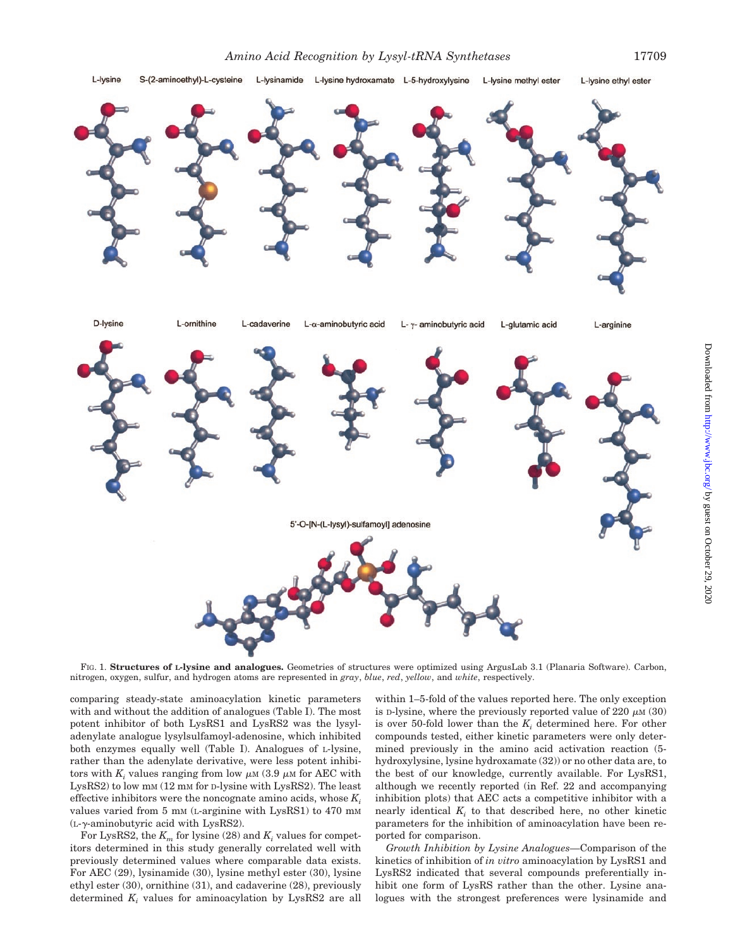L-lysine hydroxamate L-5-hydroxylysine



Downloaded from <http://www.jbc.org/> by guest on October 29, 2020

FIG. 1. **Structures of L-lysine and analogues.** Geometries of structures were optimized using ArgusLab 3.1 (Planaria Software). Carbon, nitrogen, oxygen, sulfur, and hydrogen atoms are represented in *gray*, *blue*, *red*, *yellow*, and *white*, respectively.

comparing steady-state aminoacylation kinetic parameters with and without the addition of analogues (Table I). The most potent inhibitor of both LysRS1 and LysRS2 was the lysyladenylate analogue lysylsulfamoyl-adenosine, which inhibited both enzymes equally well (Table I). Analogues of L-lysine, rather than the adenylate derivative, were less potent inhibitors with  $K_i$  values ranging from low  $\mu$ <sub>M</sub> (3.9  $\mu$ <sub>M</sub> for AEC with LysRS2) to low mM (12 mM for D-lysine with LysRS2). The least effective inhibitors were the noncognate amino acids, whose  $K_i$ values varied from 5 mM (L-arginine with LysRS1) to 470 mM  $(L-\gamma$ -aminobutyric acid with LysRS2).

L-lysine

S-(2-aminoethyl)-L-cysteine

L-Ivsinamide

For LysRS2, the  $K_m$  for lysine (28) and  $K_i$  values for competitors determined in this study generally correlated well with previously determined values where comparable data exists. For AEC (29), lysinamide (30), lysine methyl ester (30), lysine ethyl ester (30), ornithine (31), and cadaverine (28), previously determined *Ki* values for aminoacylation by LysRS2 are all within 1–5-fold of the values reported here. The only exception is D-lysine, where the previously reported value of 220  $\mu$ M (30) is over 50-fold lower than the  $K_i$  determined here. For other compounds tested, either kinetic parameters were only determined previously in the amino acid activation reaction (5 hydroxylysine, lysine hydroxamate (32)) or no other data are, to the best of our knowledge, currently available. For LysRS1, although we recently reported (in Ref. 22 and accompanying inhibition plots) that AEC acts a competitive inhibitor with a nearly identical  $K_i$  to that described here, no other kinetic parameters for the inhibition of aminoacylation have been reported for comparison.

*Growth Inhibition by Lysine Analogues—*Comparison of the kinetics of inhibition of *in vitro* aminoacylation by LysRS1 and LysRS2 indicated that several compounds preferentially inhibit one form of LysRS rather than the other. Lysine analogues with the strongest preferences were lysinamide and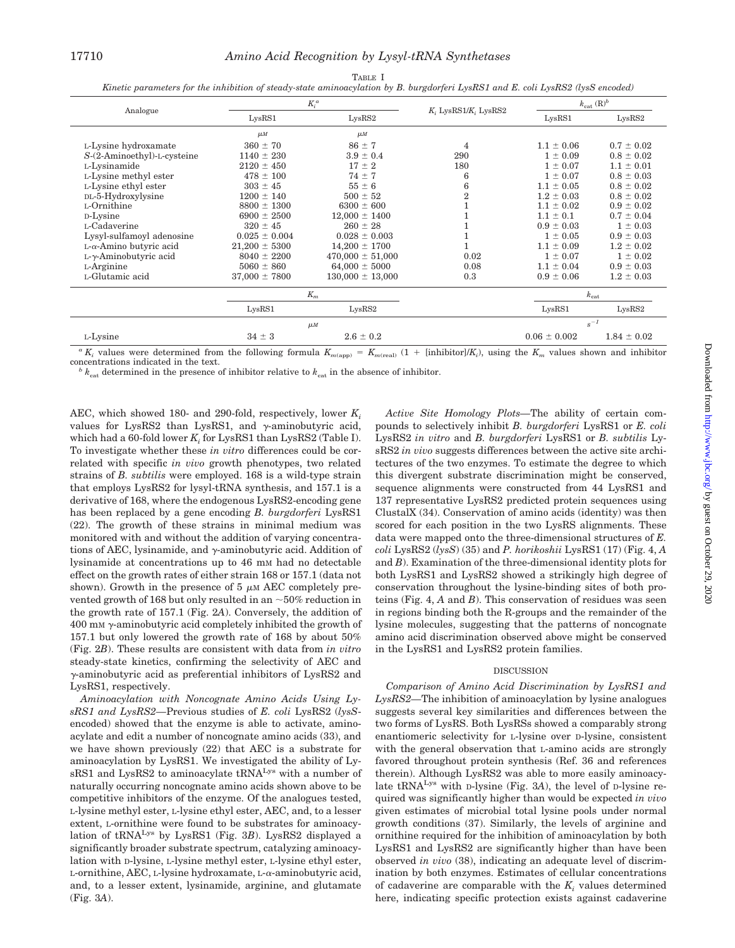*Kinetic parameters for the inhibition of steady-state aminoacylation by B. burgdorferi LysRS1 and E. coli LysRS2 (lysS encoded)*

| Analogue                       | $K_i^a$            |                      |                            | $k_{\text{cat}}(\text{R})^b$ |                 |
|--------------------------------|--------------------|----------------------|----------------------------|------------------------------|-----------------|
|                                | LvsRS1             | LvsRS2               | $K_i$ LysRS1/ $K_i$ LysRS2 | LvsRS1                       | LvsRS2          |
|                                | $\mu$ M            | $\mu$ M              |                            |                              |                 |
| L-Lysine hydroxamate           | $360 \pm 70$       | $86 \pm 7$           | 4                          | $1.1 \pm 0.06$               | $0.7 \pm 0.02$  |
| S-(2-Aminoethyl)-L-cysteine    | $1140 \pm 230$     | $3.9 \pm 0.4$        | 290                        | $1 \pm 0.09$                 | $0.8 \pm 0.02$  |
| L-Lysinamide                   | $2120 \pm 450$     | $17 \pm 2$           | 180                        | $1 \pm 0.07$                 | $1.1 \pm 0.01$  |
| L-Lysine methyl ester          | $478 \pm 100$      | $74 \pm 7$           | 6                          | $1 \pm 0.07$                 | $0.8 \pm 0.03$  |
| L-Lysine ethyl ester           | $303 \pm 45$       | $55 \pm 6$           | 6                          | $1.1 \pm 0.05$               | $0.8 \pm 0.02$  |
| DL-5-Hydroxylysine             | $1200 \pm 140$     | $500 \pm 52$         | 2                          | $1.2 \pm 0.03$               | $0.8 \pm 0.02$  |
| L-Ornithine                    | $8800 \pm 1300$    | $6300 \pm 600$       |                            | $1.1 \pm 0.02$               | $0.9 \pm 0.02$  |
| D-Lysine                       | $6900 \pm 2500$    | $12,000 \pm 1400$    |                            | $1.1 \pm 0.1$                | $0.7 \pm 0.04$  |
| L-Cadaverine                   | $320 \pm 45$       | $260 \pm 28$         |                            | $0.9 \pm 0.03$               | $1 \pm 0.03$    |
| Lysyl-sulfamoyl adenosine      | $0.025 \pm 0.004$  | $0.028 \pm 0.003$    |                            | $1 \pm 0.05$                 | $0.9 \pm 0.03$  |
| $L-\alpha$ -Amino butyric acid | $21,200 \pm 5300$  | $14,200 \pm 1700$    |                            | $1.1 \pm 0.09$               | $1.2 \pm 0.02$  |
| $L-\gamma$ -Aminobutyric acid  | $8040 \pm 2200$    | $470,000 \pm 51,000$ | 0.02                       | $1 \pm 0.07$                 | $1 \pm 0.02$    |
| L-Arginine                     | $5060 \pm 860$     | $64,000 \pm 5000$    | 0.08                       | $1.1 \pm 0.04$               | $0.9 \pm 0.03$  |
| L-Glutamic acid                | $37,000 \pm 7800$  | $130,000 \pm 13,000$ | 0.3                        | $0.9 \pm 0.06$               | $1.2 \pm 0.03$  |
|                                | $K_m$              |                      |                            | $k_{\rm cat}$                |                 |
|                                | LysRS1             | LysRS2               |                            | LysRS1                       | LysRS2          |
|                                | $\mu$ <sub>M</sub> |                      |                            | $s^{-1}$                     |                 |
| L-Lysine                       | $34 \pm 3$         | $2.6 \pm 0.2$        |                            | $0.06 \pm 0.002$             | $1.84 \pm 0.02$ |

 ${}^a K_i$  values were determined from the following formula  $K_{m(\text{app})} = K_{m(\text{real})}$  (1 + [inhibitor]/*K<sub>i</sub>*), using the  $K_m$  values shown and inhibitor concentrations indicated in the text.<br><sup>*b*</sup>  $k_{\text{cat}}$  determined in the presence of inhibitor relative to  $k_{\text{cat}}$  in the absence of inhibitor.

AEC, which showed 180- and 290-fold, respectively, lower *Ki* values for LysRS2 than LysRS1, and  $\gamma$ -aminobutyric acid, which had a  $60$ -fold lower  $K_i$  for LysRS1 than LysRS2 (Table I). To investigate whether these *in vitro* differences could be correlated with specific *in vivo* growth phenotypes, two related strains of *B. subtilis* were employed. 168 is a wild-type strain that employs LysRS2 for lysyl-tRNA synthesis, and 157.1 is a derivative of 168, where the endogenous LysRS2-encoding gene has been replaced by a gene encoding *B. burgdorferi* LysRS1 (22). The growth of these strains in minimal medium was monitored with and without the addition of varying concentrations of AEC, lysinamide, and  $\gamma$ -aminobutyric acid. Addition of lysinamide at concentrations up to 46 mM had no detectable effect on the growth rates of either strain 168 or 157.1 (data not shown). Growth in the presence of  $5 \mu M$  AEC completely prevented growth of 168 but only resulted in an  $\sim$  50% reduction in the growth rate of 157.1 (Fig. 2*A*). Conversely, the addition of  $400 \text{ mm}$   $\gamma$ -aminobutyric acid completely inhibited the growth of 157.1 but only lowered the growth rate of 168 by about 50% (Fig. 2*B*). These results are consistent with data from *in vitro* steady-state kinetics, confirming the selectivity of AEC and  $\gamma$ -aminobutyric acid as preferential inhibitors of LysRS2 and LysRS1, respectively.

*Aminoacylation with Noncognate Amino Acids Using LysRS1 and LysRS2—*Previous studies of *E. coli* LysRS2 (*lysS*encoded) showed that the enzyme is able to activate, aminoacylate and edit a number of noncognate amino acids (33), and we have shown previously (22) that AEC is a substrate for aminoacylation by LysRS1. We investigated the ability of LysRS1 and LysRS2 to aminoacylate tRNA<sup>Lys</sup> with a number of naturally occurring noncognate amino acids shown above to be competitive inhibitors of the enzyme. Of the analogues tested, L-lysine methyl ester, L-lysine ethyl ester, AEC, and, to a lesser extent, L-ornithine were found to be substrates for aminoacylation of tRNALys by LysRS1 (Fig. 3*B*). LysRS2 displayed a significantly broader substrate spectrum, catalyzing aminoacylation with D-lysine, L-lysine methyl ester, L-lysine ethyl ester,  $L$ -ornithine, AEC,  $L$ -lysine hydroxamate,  $L$ - $\alpha$ -aminobutyric acid, and, to a lesser extent, lysinamide, arginine, and glutamate (Fig. 3*A*).

*Active Site Homology Plots—*The ability of certain compounds to selectively inhibit *B. burgdorferi* LysRS1 or *E. coli* LysRS2 *in vitro* and *B. burgdorferi* LysRS1 or *B. subtilis* LysRS2 *in vivo* suggests differences between the active site architectures of the two enzymes. To estimate the degree to which this divergent substrate discrimination might be conserved, sequence alignments were constructed from 44 LysRS1 and 137 representative LysRS2 predicted protein sequences using ClustalX (34). Conservation of amino acids (identity) was then scored for each position in the two LysRS alignments. These data were mapped onto the three-dimensional structures of *E. coli* LysRS2 (*lysS*) (35) and *P. horikoshii* LysRS1 (17) (Fig. 4, *A* and *B*). Examination of the three-dimensional identity plots for both LysRS1 and LysRS2 showed a strikingly high degree of conservation throughout the lysine-binding sites of both proteins (Fig. 4, *A* and *B*). This conservation of residues was seen in regions binding both the R-groups and the remainder of the lysine molecules, suggesting that the patterns of noncognate amino acid discrimination observed above might be conserved in the LysRS1 and LysRS2 protein families.

#### DISCUSSION

*Comparison of Amino Acid Discrimination by LysRS1 and LysRS2—*The inhibition of aminoacylation by lysine analogues suggests several key similarities and differences between the two forms of LysRS. Both LysRSs showed a comparably strong enantiomeric selectivity for L-lysine over D-lysine, consistent with the general observation that L-amino acids are strongly favored throughout protein synthesis (Ref. 36 and references therein). Although LysRS2 was able to more easily aminoacylate tRNALys with D-lysine (Fig. 3*A*), the level of D-lysine required was significantly higher than would be expected *in vivo* given estimates of microbial total lysine pools under normal growth conditions (37). Similarly, the levels of arginine and ornithine required for the inhibition of aminoacylation by both LysRS1 and LysRS2 are significantly higher than have been observed *in vivo* (38), indicating an adequate level of discrimination by both enzymes. Estimates of cellular concentrations of cadaverine are comparable with the  $K<sub>i</sub>$  values determined here, indicating specific protection exists against cadaverine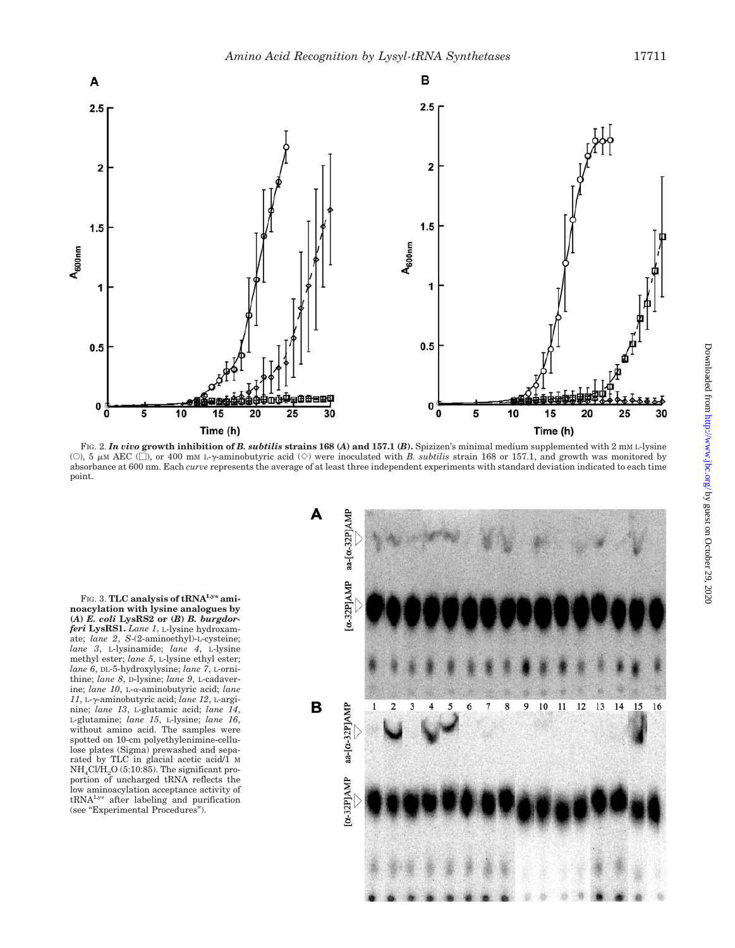

FIG. 2. *In vivo* **growth inhibition of** *B. subtilis* **strains 168 (***A***) and 157.1 (***B***).** Spizizen's minimal medium supplemented with 2 mM L-lysine (O), 5  $\mu$ M AEC ( $\Box$ ), or 400 mM L- $\gamma$ -aminobutyric acid ( $\diamond$ ) were inoculated with *B. subtilis* strain 168 or 157.1, and growth was monitored by absorbance at 600 nm. Each *curve* represents the average of at least three independent experiments with standard deviation indicated to each time point.

FIG. 3. **TLC analysis of tRNALys aminoacylation with lysine analogues by (***A***)** *E. coli* **LysRS2 or (***B***)** *B. burgdorferi* **LysRS1.** *Lane 1*, L-lysine hydroxamate; *lane 2*, *S*-(2-aminoethyl)-L-cysteine; *lane 3*, L-lysinamide; *lane 4*, L-lysine methyl ester; *lane 5*, L-lysine ethyl ester; *lane 6*, DL-5-hydroxylysine; *lane 7*, L-ornithine; *lane 8*, D-lysine; *lane 9*, L-cadaverine; lane 10, L-α-aminobutyric acid; lane *11*, L--aminobutyric acid; *lane 12*, L-arginine; *lane 13*, L-glutamic acid; *lane 14*, L-glutamine; *lane 15*, L-lysine; *lane 16*, without amino acid. The samples were spotted on 10-cm polyethylenimine-cellulose plates (Sigma) prewashed and separated by TLC in glacial acetic acid/1 M  $NH<sub>4</sub>Cl/H<sub>2</sub>O$  (5:10:85). The significant proportion of uncharged tRNA reflects the low aminoacylation acceptance activity of tRNALys after labeling and purification (see "Experimental Procedures").

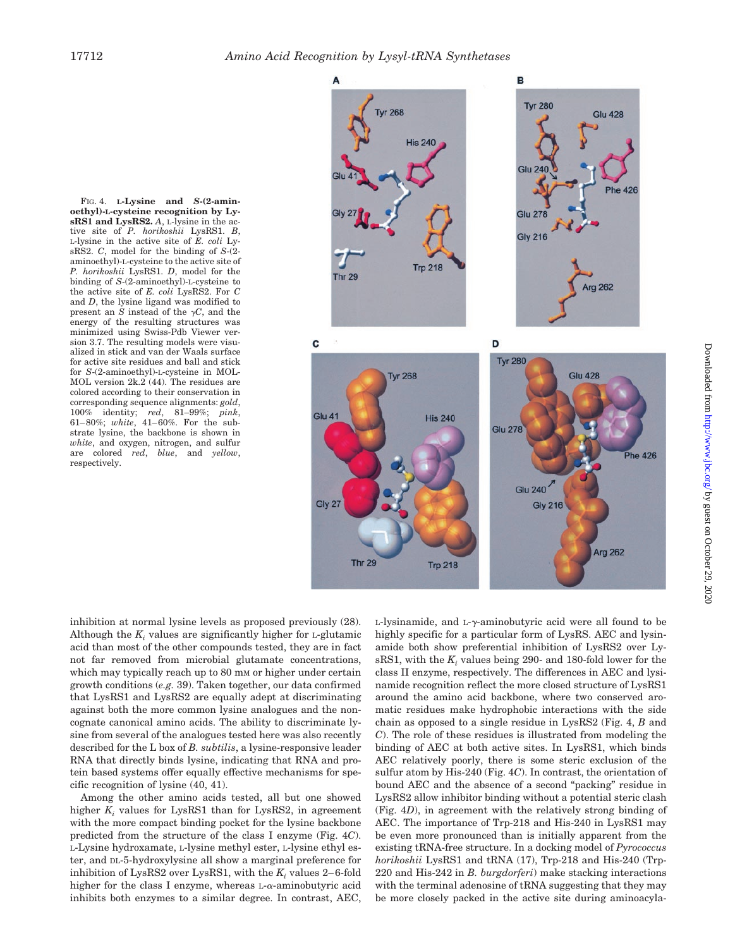

FIG. 4. **L-Lysine and** *S***-(2-aminoethyl)-L-cysteine recognition by LysRS1 and LysRS2.** *A*, L-lysine in the active site of *P. horikoshii* LysRS1. *B*, L-lysine in the active site of *E. coli* LysRS2. *C*, model for the binding of *S*-(2 aminoethyl)-L-cysteine to the active site of *P. horikoshii* LysRS1. *D*, model for the binding of *S*-(2-aminoethyl)-L-cysteine to the active site of *E. coli* LysRS2. For *C* and *D*, the lysine ligand was modified to present an *S* instead of the  $\gamma C$ , and the energy of the resulting structures was minimized using Swiss-Pdb Viewer version 3.7. The resulting models were visualized in stick and van der Waals surface for active site residues and ball and stick for *S*-(2-aminoethyl)-L-cysteine in MOL-MOL version 2k.2 (44). The residues are colored according to their conservation in corresponding sequence alignments: *gold*, 100% identity; *red*, 81–99%; *pink*, 61–80%; *white*, 41–60%. For the substrate lysine, the backbone is shown in *white*, and oxygen, nitrogen, and sulfur are colored *red*, *blue*, and *yellow*, respectively.

inhibition at normal lysine levels as proposed previously (28). Although the  $K_i$  values are significantly higher for  $L$ -glutamic acid than most of the other compounds tested, they are in fact not far removed from microbial glutamate concentrations, which may typically reach up to 80 mm or higher under certain growth conditions (*e.g.* 39). Taken together, our data confirmed that LysRS1 and LysRS2 are equally adept at discriminating against both the more common lysine analogues and the noncognate canonical amino acids. The ability to discriminate lysine from several of the analogues tested here was also recently described for the L box of *B. subtilis*, a lysine-responsive leader RNA that directly binds lysine, indicating that RNA and protein based systems offer equally effective mechanisms for specific recognition of lysine (40, 41).

Among the other amino acids tested, all but one showed higher *K<sub>i</sub>* values for LysRS1 than for LysRS2, in agreement with the more compact binding pocket for the lysine backbone predicted from the structure of the class I enzyme (Fig. 4*C*). L-Lysine hydroxamate, L-lysine methyl ester, L-lysine ethyl ester, and DL-5-hydroxylysine all show a marginal preference for inhibition of LysRS2 over LysRS1, with the  $K_i$  values 2–6-fold higher for the class I enzyme, whereas  $L-\alpha$ -aminobutyric acid inhibits both enzymes to a similar degree. In contrast, AEC,

L-lysinamide, and L- $\gamma$ -aminobutyric acid were all found to be highly specific for a particular form of LysRS. AEC and lysinamide both show preferential inhibition of LysRS2 over LysRS1, with the *K<sub>i</sub>* values being 290- and 180-fold lower for the class II enzyme, respectively. The differences in AEC and lysinamide recognition reflect the more closed structure of LysRS1 around the amino acid backbone, where two conserved aromatic residues make hydrophobic interactions with the side chain as opposed to a single residue in LysRS2 (Fig. 4, *B* and *C*). The role of these residues is illustrated from modeling the binding of AEC at both active sites. In LysRS1, which binds AEC relatively poorly, there is some steric exclusion of the sulfur atom by His-240 (Fig. 4*C*). In contrast, the orientation of bound AEC and the absence of a second "packing" residue in LysRS2 allow inhibitor binding without a potential steric clash (Fig. 4*D*), in agreement with the relatively strong binding of AEC. The importance of Trp-218 and His-240 in LysRS1 may be even more pronounced than is initially apparent from the existing tRNA-free structure. In a docking model of *Pyrococcus horikoshii* LysRS1 and tRNA (17), Trp-218 and His-240 (Trp-220 and His-242 in *B. burgdorferi*) make stacking interactions with the terminal adenosine of tRNA suggesting that they may be more closely packed in the active site during aminoacyla-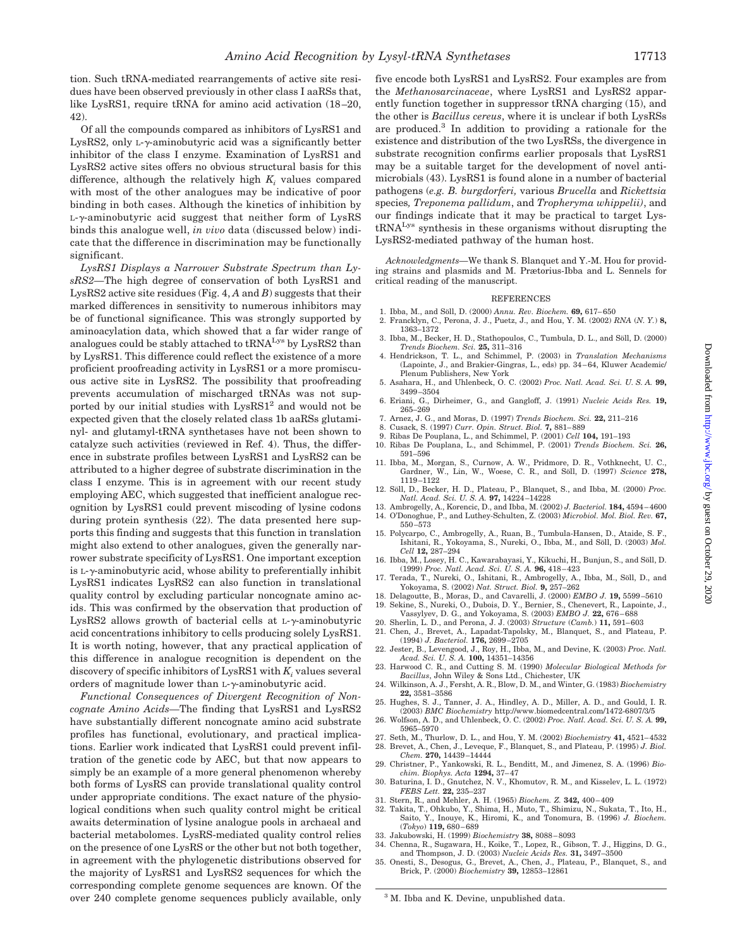tion. Such tRNA-mediated rearrangements of active site residues have been observed previously in other class I aaRSs that, like LysRS1, require tRNA for amino acid activation (18–20, 42).

Of all the compounds compared as inhibitors of LysRS1 and LysRS2, only  $L-\gamma$ -aminobutyric acid was a significantly better inhibitor of the class I enzyme. Examination of LysRS1 and LysRS2 active sites offers no obvious structural basis for this difference, although the relatively high  $K<sub>i</sub>$  values compared with most of the other analogues may be indicative of poor binding in both cases. Although the kinetics of inhibition by  $L-\gamma$ -aminobutyric acid suggest that neither form of LysRS binds this analogue well, *in vivo* data (discussed below) indicate that the difference in discrimination may be functionally significant.

*LysRS1 Displays a Narrower Substrate Spectrum than LysRS2—*The high degree of conservation of both LysRS1 and LysRS2 active site residues (Fig. 4, *A* and *B*) suggests that their marked differences in sensitivity to numerous inhibitors may be of functional significance. This was strongly supported by aminoacylation data, which showed that a far wider range of analogues could be stably attached to tRNA<sup>Lys</sup> by LysRS2 than by LysRS1. This difference could reflect the existence of a more proficient proofreading activity in LysRS1 or a more promiscuous active site in LysRS2. The possibility that proofreading prevents accumulation of mischarged tRNAs was not supported by our initial studies with  $LysRS1<sup>2</sup>$  and would not be expected given that the closely related class 1b aaRSs glutaminyl- and glutamyl-tRNA synthetases have not been shown to catalyze such activities (reviewed in Ref. 4). Thus, the difference in substrate profiles between LysRS1 and LysRS2 can be attributed to a higher degree of substrate discrimination in the class I enzyme. This is in agreement with our recent study employing AEC, which suggested that inefficient analogue recognition by LysRS1 could prevent miscoding of lysine codons during protein synthesis (22). The data presented here supports this finding and suggests that this function in translation might also extend to other analogues, given the generally narrower substrate specificity of LysRS1. One important exception is  $L-\gamma$ -aminobutyric acid, whose ability to preferentially inhibit LysRS1 indicates LysRS2 can also function in translational quality control by excluding particular noncognate amino acids. This was confirmed by the observation that production of LysRS2 allows growth of bacterial cells at  $L-\gamma$ -aminobutyric acid concentrations inhibitory to cells producing solely LysRS1. It is worth noting, however, that any practical application of this difference in analogue recognition is dependent on the discovery of specific inhibitors of LysRS1 with  $K_i$  values several orders of magnitude lower than  $L-\gamma$ -aminobutyric acid.

*Functional Consequences of Divergent Recognition of Noncognate Amino Acids—*The finding that LysRS1 and LysRS2 have substantially different noncognate amino acid substrate profiles has functional, evolutionary, and practical implications. Earlier work indicated that LysRS1 could prevent infiltration of the genetic code by AEC, but that now appears to simply be an example of a more general phenomenon whereby both forms of LysRS can provide translational quality control under appropriate conditions. The exact nature of the physiological conditions when such quality control might be critical awaits determination of lysine analogue pools in archaeal and bacterial metabolomes. LysRS-mediated quality control relies on the presence of one LysRS or the other but not both together, in agreement with the phylogenetic distributions observed for the majority of LysRS1 and LysRS2 sequences for which the corresponding complete genome sequences are known. Of the over 240 complete genome sequences publicly available, only

five encode both LysRS1 and LysRS2. Four examples are from the *Methanosarcinaceae*, where LysRS1 and LysRS2 apparently function together in suppressor tRNA charging (15), and the other is *Bacillus cereus*, where it is unclear if both LysRSs are produced.3 In addition to providing a rationale for the existence and distribution of the two LysRSs, the divergence in substrate recognition confirms earlier proposals that LysRS1 may be a suitable target for the development of novel antimicrobials (43). LysRS1 is found alone in a number of bacterial pathogens (*e.g. B. burgdorferi,* various *Brucella* and *Rickettsia* species*, Treponema pallidum*, and *Tropheryma whippelii)*, and our findings indicate that it may be practical to target LystRNALys synthesis in these organisms without disrupting the LysRS2-mediated pathway of the human host.

*Acknowledgments—*We thank S. Blanquet and Y.-M. Hou for providing strains and plasmids and M. Prætorius-Ibba and L. Sennels for critical reading of the manuscript.

#### **REFERENCES**

- 1. Ibba. M., and Söll, D. (2000) *Annu. Rev. Biochem.* **69,** 617-650
- 2. Francklyn, C., Perona, J. J., Puetz, J., and Hou, Y. M. (2002) *RNA* (*N. Y.*) **8,** 1363–1372
- 3. Ibba, M., Becker, H. D., Stathopoulos, C., Tumbula, D. L., and Söll, D. (2000) *Trends Biochem. Sci.* **25,** 311–316
- 4. Hendrickson, T. L., and Schimmel, P. (2003) in *Translation Mechanisms* (Lapointe, J., and Brakier-Gingras, L., eds) pp. 34–64, Kluwer Academic/ Plenum Publishers, New York
- 5. Asahara, H., and Uhlenbeck, O. C. (2002) *Proc. Natl. Acad. Sci. U. S. A.* **99,** 3499–3504
- 6. Eriani, G., Dirheimer, G., and Gangloff, J. (1991) *Nucleic Acids Res.* **19,** 265–269
- 7. Arnez, J. G., and Moras, D. (1997) *Trends Biochem. Sci.* **22,** 211–216
- 8. Cusack, S. (1997) *Curr. Opin. Struct. Biol.* **7,** 881–889
- 9. Ribas De Pouplana, L., and Schimmel, P. (2001) *Cell* **104,** 191–193
- 10. Ribas De Pouplana, L., and Schimmel, P. (2001) *Trends Biochem. Sci.* **26,** 591–596
- 11. Ibba, M., Morgan, S., Curnow, A. W., Pridmore, D. R., Vothknecht, U. C., Gardner, W., Lin, W., Woese, C. R., and Soll, D. (1997) *Science* 278, 1119–1122
- 12. Söll, D., Becker, H. D., Plateau, P., Blanquet, S., and Ibba, M. (2000) Proc. *Natl. Acad. Sci. U. S. A.* **97,** 14224–14228
- 13. Ambrogelly, A., Korencic, D., and Ibba, M. (2002) *J. Bacteriol.* **184,** 4594–4600 14. O'Donoghue, P., and Luthey-Schulten, Z. (2003) *Microbiol. Mol. Biol. Rev.* **67,**
- 550–573 15. Polycarpo, C., Ambrogelly, A., Ruan, B., Tumbula-Hansen, D., Ataide, S. F.,
- Ishitani, R., Yokoyama, S., Nureki, O., Ibba, M., and Söll, D. (2003) *Mol. Cell* **12,** 287–294
- 16. Ibba, M., Losey, H. C., Kawarabayasi, Y., Kikuchi, H., Bunjun, S., and Söll, D. (1999) *Proc. Natl. Acad. Sci. U. S. A.* **96,** 418–423
- 17. Terada, T., Nureki, O., Ishitani, R., Ambrogelly, A., Ibba, M., Söll, D., and Yokoyama, S. (2002) *Nat. Struct. Biol.* **9,** 257–262
- 18. Delagoutte, B., Moras, D., and Cavarelli, J. (2000) *EMBO J.* **19,** 5599–5610 19. Sekine, S., Nureki, O., Dubois, D. Y., Bernier, S., Chenevert, R., Lapointe, J.,
	- Vassylyev, D. G., and Yokoyama, S. (2003) *EMBO J.* **22,** 676–688
- 20. Sherlin, L. D., and Perona, J. J. (2003) *Structure* (*Camb.*) **11,** 591–603
- 21. Chen, J., Brevet, A., Lapadat-Tapolsky, M., Blanquet, S., and Plateau, P. (1994) *J. Bacteriol.* **176,** 2699–2705
- 22. Jester, B., Levengood, J., Roy, H., Ibba, M., and Devine, K. (2003) *Proc. Natl. Acad. Sci. U. S. A.* **100,** 14351–14356
- 23. Harwood C. R., and Cutting S. M. (1990) *Molecular Biological Methods for Bacillus*, John Wiley & Sons Ltd., Chichester, UK
- 24. Wilkinson, A. J., Fersht, A. R., Blow, D. M., and Winter, G. (1983) *Biochemistry* **22,** 3581–3586
- 25. Hughes, S. J., Tanner, J. A., Hindley, A. D., Miller, A. D., and Gould, I. R. (2003) *BMC Biochemistry* http://www.biomedcentral.com/1472-6807/3/5
- 26. Wolfson, A. D., and Uhlenbeck, O. C. (2002) *Proc. Natl. Acad. Sci. U. S. A.* **99,** 5965–5970
- 27. Seth, M., Thurlow, D. L., and Hou, Y. M. (2002) *Biochemistry* **41,** 4521–4532 28. Brevet, A., Chen, J., Leveque, F., Blanquet, S., and Plateau, P. (1995) *J. Biol.*
- *Chem.* **270,** 14439–14444 29. Christner, P., Yankowski, R. L., Benditt, M., and Jimenez, S. A. (1996) *Bio-*
- *chim. Biophys. Acta* **1294,** 37–47 30. Baturina, I. D., Gnutchez, N. V., Khomutov, R. M., and Kisselev, L. L. (1972)
- *FEBS Lett.* **22,** 235–237
- 31. Stern, R., and Mehler, A. H. (1965) *Biochem. Z.* **342,** 400–409
- 32. Takita, T., Ohkubo, Y., Shima, H., Muto, T., Shimizu, N., Sukata, T., Ito, H., Saito, Y., Inouye, K., Hiromi, K., and Tonomura, B. (1996) *J. Biochem.* (*Tokyo*) **119,** 680–689
- 33. Jakubowski, H. (1999) *Biochemistry* **38,** 8088–8093
- 34. Chenna, R., Sugawara, H., Koike, T., Lopez, R., Gibson, T. J., Higgins, D. G., and Thompson, J. D. (2003) *Nucleic Acids Res.* **31,** 3497–3500
- 35. Onesti, S., Desogus, G., Brevet, A., Chen, J., Plateau, P., Blanquet, S., and Brick, P. (2000) *Biochemistry* **39,** 12853–12861

<sup>3</sup> M. Ibba and K. Devine, unpublished data.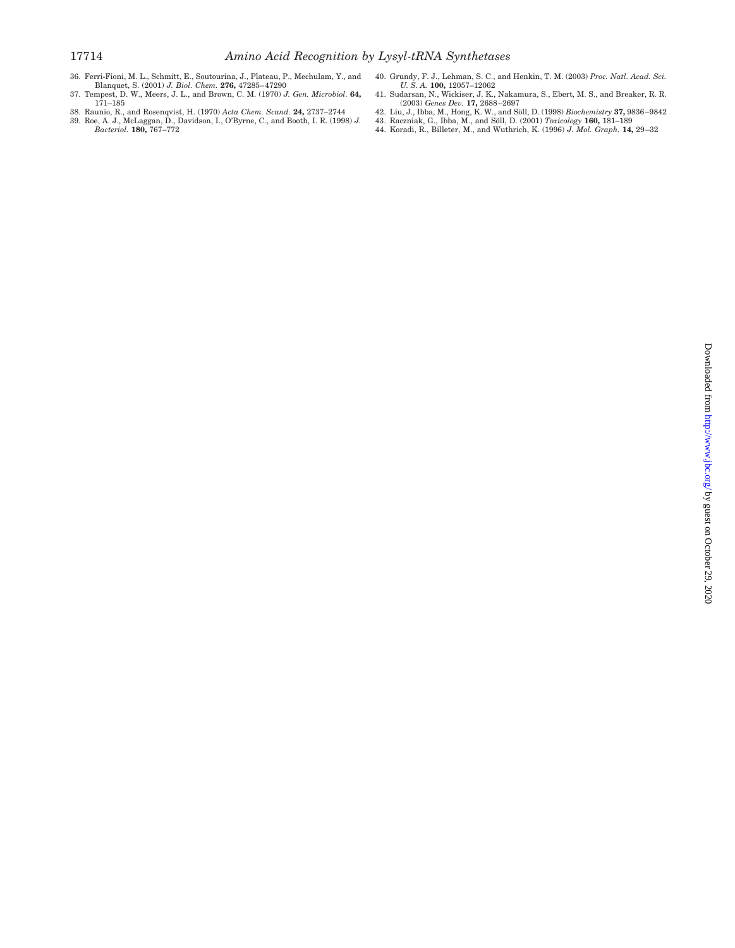- 36. Ferri-Fioni, M. L., Schmitt, E., Soutourina, J., Plateau, P., Mechulam, Y., and<br>Blanquet, S. (2001) J. Biol. Chem. **276,** 47285–47290<br>37. Tempest, D. W., Meers, J. L., and Brown, C. M. (1970) J. Gen. Microbiol. **64,**
- 171–185
- 
- 38. Raunio, R., and Rosenqvist, H. (1970) *Acta Chem. Scand.* **24,** 2737–2744 39. Roe, A. J., McLaggan, D., Davidson, I., O'Byrne, C., and Booth, I. R. (1998) *J. Bacteriol.* **180,** 767–772
- 40. Grundy, F. J., Lehman, S. C., and Henkin, T. M. (2003) *Proc. Natl. Acad. Sci. U. S. A.* **100,** 12057–12062
- 41. Sudarsan, N., Wickiser, J. K., Nakamura, S., Ebert, M. S., and Breaker, R. R. (2003) *Genes Dev.* **17,** 2688–2697
- 42. Liu, J., Ibba, M., Hong, K. W., and Soll, D. (1998) *Biochemistry* **37,** 9836–9842
- 43. Raczniak, G., Ibba, M., and Söll, D. (2001) *Toxicology* **160,** 181–189<br>44. Koradi, R., Billeter, M., and Wuthrich, K. (1996) *J. Mol. Graph.* **14,** 29–32
-